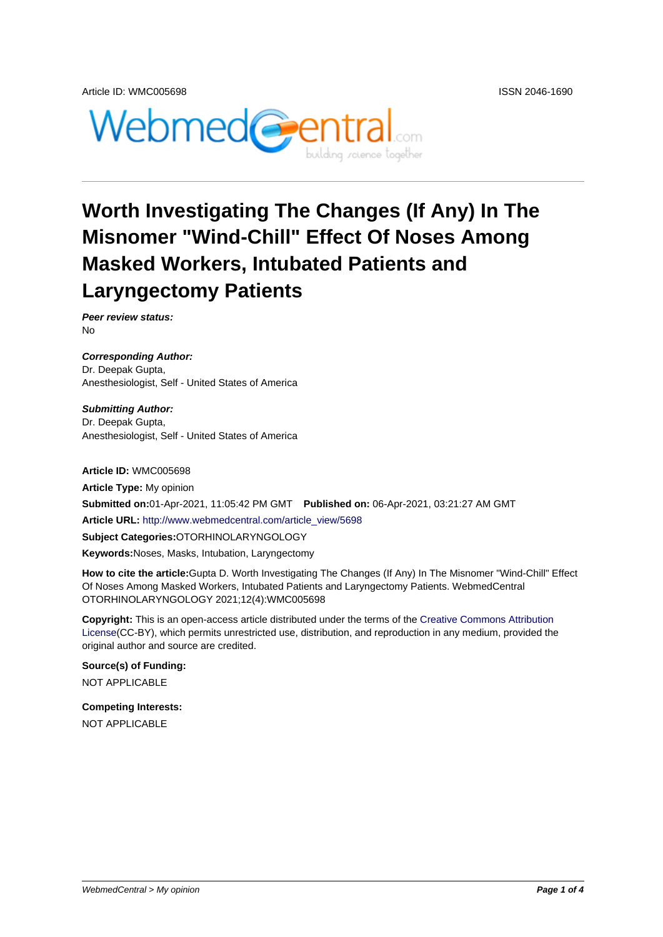

# **Worth Investigating The Changes (If Any) In The Misnomer "Wind-Chill" Effect Of Noses Among Masked Workers, Intubated Patients and Laryngectomy Patients**

**Peer review status:** No

**Corresponding Author:** Dr. Deepak Gupta, Anesthesiologist, Self - United States of America

**Submitting Author:** Dr. Deepak Gupta, Anesthesiologist, Self - United States of America

**Article ID:** WMC005698

**Article Type:** My opinion **Submitted on:**01-Apr-2021, 11:05:42 PM GMT **Published on:** 06-Apr-2021, 03:21:27 AM GMT **Article URL:** http://www.webmedcentral.com/article\_view/5698 **Subject Categories:**OTORHINOLARYNGOLOGY **Keywords:**Noses, Masks, Intubation, Laryngectomy

**How to cite the article:**[Gupta D. Worth Investigating The Chan](http://www.webmedcentral.com/article_view/5698)ges (If Any) In The Misnomer "Wind-Chill" Effect Of Noses Among Masked Workers, Intubated Patients and Laryngectomy Patients. WebmedCentral OTORHINOLARYNGOLOGY 2021;12(4):WMC005698

**Copyright:** This is an open-access article distributed under the terms of the Creative Commons Attribution License(CC-BY), which permits unrestricted use, distribution, and reproduction in any medium, provided the original author and source are credited.

**Source(s) of Funding:** [NOT AP](http://creativecommons.org/licenses/by/3.0/)PLICABLE

**Competing Interests:** NOT APPLICABLE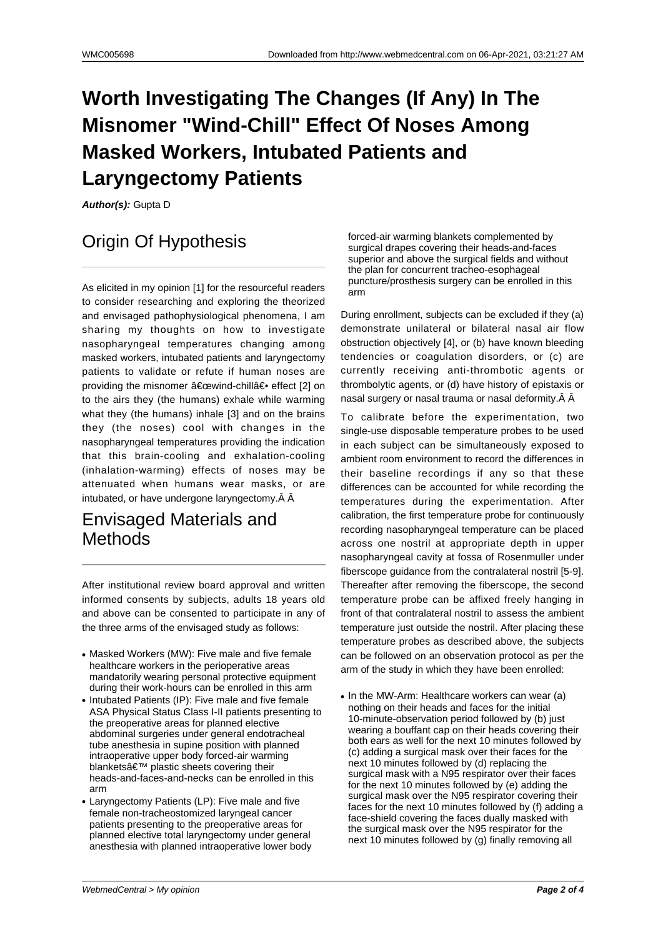# **Worth Investigating The Changes (If Any) In The Misnomer "Wind-Chill" Effect Of Noses Among Masked Workers, Intubated Patients and Laryngectomy Patients**

**Author(s):** Gupta D

## Origin Of Hypothesis

As elicited in my opinion [1] for the resourceful readers to consider researching and exploring the theorized and envisaged pathophysiological phenomena, I am sharing my thoughts on how to investigate nasopharyngeal temperatures changing among masked workers, intubated patients and laryngectomy patients to validate or refute if human noses are providing the misnomer "wind-chill― effect [2] on to the airs they (the humans) exhale while warming what they (the humans) inhale [3] and on the brains they (the noses) cool with changes in the nasopharyngeal temperatures providing the indication that this brain-cooling and exhalation-cooling (inhalation-warming) effects of noses may be attenuated when humans wear masks, or are intubated, or have undergone laryngectomy. Â Â

#### Envisaged Materials and **Methods**

After institutional review board approval and written informed consents by subjects, adults 18 years old and above can be consented to participate in any of the three arms of the envisaged study as follows:

- Masked Workers (MW): Five male and five female healthcare workers in the perioperative areas mandatorily wearing personal protective equipment during their work-hours can be enrolled in this arm
- Intubated Patients (IP): Five male and five female ASA Physical Status Class I-II patients presenting to the preoperative areas for planned elective abdominal surgeries under general endotracheal tube anesthesia in supine position with planned intraoperative upper body forced-air warming blankets' plastic sheets covering their heads-and-faces-and-necks can be enrolled in this arm
- Laryngectomy Patients (LP): Five male and five female non-tracheostomized laryngeal cancer patients presenting to the preoperative areas for planned elective total laryngectomy under general anesthesia with planned intraoperative lower body

forced-air warming blankets complemented by surgical drapes covering their heads-and-faces superior and above the surgical fields and without the plan for concurrent tracheo-esophageal puncture/prosthesis surgery can be enrolled in this arm

During enrollment, subjects can be excluded if they (a) demonstrate unilateral or bilateral nasal air flow obstruction objectively [4], or (b) have known bleeding tendencies or coagulation disorders, or (c) are currently receiving anti-thrombotic agents or thrombolytic agents, or (d) have history of epistaxis or nasal surgery or nasal trauma or nasal deformity. $\hat{A}$   $\hat{A}$ 

To calibrate before the experimentation, two single-use disposable temperature probes to be used in each subject can be simultaneously exposed to ambient room environment to record the differences in their baseline recordings if any so that these differences can be accounted for while recording the temperatures during the experimentation. After calibration, the first temperature probe for continuously recording nasopharyngeal temperature can be placed across one nostril at appropriate depth in upper nasopharyngeal cavity at fossa of Rosenmuller under fiberscope guidance from the contralateral nostril [5-9]. Thereafter after removing the fiberscope, the second temperature probe can be affixed freely hanging in front of that contralateral nostril to assess the ambient temperature just outside the nostril. After placing these temperature probes as described above, the subjects can be followed on an observation protocol as per the arm of the study in which they have been enrolled:

 $\bullet$  In the MW-Arm: Healthcare workers can wear (a) nothing on their heads and faces for the initial 10-minute-observation period followed by (b) just wearing a bouffant cap on their heads covering their both ears as well for the next 10 minutes followed by (c) adding a surgical mask over their faces for the next 10 minutes followed by (d) replacing the surgical mask with a N95 respirator over their faces for the next 10 minutes followed by (e) adding the surgical mask over the N95 respirator covering their faces for the next 10 minutes followed by (f) adding a face-shield covering the faces dually masked with the surgical mask over the N95 respirator for the next 10 minutes followed by (g) finally removing all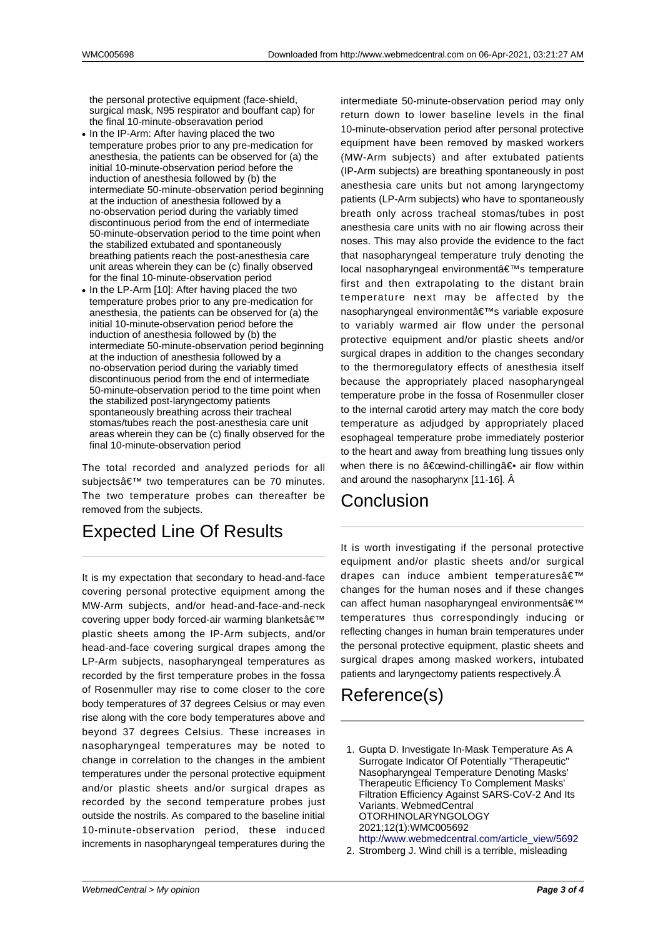the personal protective equipment (face-shield, surgical mask, N95 respirator and bouffant cap) for the final 10-minute-obseravation period

- In the IP-Arm: After having placed the two temperature probes prior to any pre-medication for anesthesia, the patients can be observed for (a) the initial 10-minute-observation period before the induction of anesthesia followed by (b) the intermediate 50-minute-observation period beginning at the induction of anesthesia followed by a no-observation period during the variably timed discontinuous period from the end of intermediate 50-minute-observation period to the time point when the stabilized extubated and spontaneously breathing patients reach the post-anesthesia care unit areas wherein they can be (c) finally observed for the final 10-minute-observation period
- In the LP-Arm [10]: After having placed the two temperature probes prior to any pre-medication for anesthesia, the patients can be observed for (a) the initial 10-minute-observation period before the induction of anesthesia followed by (b) the intermediate 50-minute-observation period beginning at the induction of anesthesia followed by a no-observation period during the variably timed discontinuous period from the end of intermediate 50-minute-observation period to the time point when the stabilized post-laryngectomy patients spontaneously breathing across their tracheal stomas/tubes reach the post-anesthesia care unit areas wherein they can be (c) finally observed for the final 10-minute-observation period

The total recorded and analyzed periods for all subjects' two temperatures can be 70 minutes. The two temperature probes can thereafter be removed from the subjects.

### Expected Line Of Results

It is my expectation that secondary to head-and-face covering personal protective equipment among the MW-Arm subjects, and/or head-and-face-and-neck covering upper body forced-air warming blankets' plastic sheets among the IP-Arm subjects, and/or head-and-face covering surgical drapes among the LP-Arm subjects, nasopharyngeal temperatures as recorded by the first temperature probes in the fossa of Rosenmuller may rise to come closer to the core body temperatures of 37 degrees Celsius or may even rise along with the core body temperatures above and beyond 37 degrees Celsius. These increases in nasopharyngeal temperatures may be noted to change in correlation to the changes in the ambient temperatures under the personal protective equipment and/or plastic sheets and/or surgical drapes as recorded by the second temperature probes just outside the nostrils. As compared to the baseline initial 10-minute-observation period, these induced increments in nasopharyngeal temperatures during the

intermediate 50-minute-observation period may only return down to lower baseline levels in the final 10-minute-observation period after personal protective equipment have been removed by masked workers (MW-Arm subjects) and after extubated patients (IP-Arm subjects) are breathing spontaneously in post anesthesia care units but not among laryngectomy patients (LP-Arm subjects) who have to spontaneously breath only across tracheal stomas/tubes in post anesthesia care units with no air flowing across their noses. This may also provide the evidence to the fact that nasopharyngeal temperature truly denoting the local nasopharyngeal environment's temperature first and then extrapolating to the distant brain temperature next may be affected by the nasopharyngeal environment's variable exposure to variably warmed air flow under the personal protective equipment and/or plastic sheets and/or surgical drapes in addition to the changes secondary to the thermoregulatory effects of anesthesia itself because the appropriately placed nasopharyngeal temperature probe in the fossa of Rosenmuller closer to the internal carotid artery may match the core body temperature as adjudged by appropriately placed esophageal temperature probe immediately posterior to the heart and away from breathing lung tissues only when there is no "wind-chilling― air flow within and around the nasopharynx [11-16]. Â

### Conclusion

It is worth investigating if the personal protective equipment and/or plastic sheets and/or surgical drapes can induce ambient temperatures' changes for the human noses and if these changes can affect human nasopharyngeal environments' temperatures thus correspondingly inducing or reflecting changes in human brain temperatures under the personal protective equipment, plastic sheets and surgical drapes among masked workers, intubated patients and laryngectomy patients respectively. Â

## Reference(s)

- 1. Gupta D. Investigate In-Mask Temperature As A Surrogate Indicator Of Potentially "Therapeutic" Nasopharyngeal Temperature Denoting Masks' Therapeutic Efficiency To Complement Masks' Filtration Efficiency Against SARS-CoV-2 And Its Variants. WebmedCentral OTORHINOLARYNGOLOGY 2021;12(1):WMC005692 http://www.webmedcentral.com/article\_view/5692
- 2. Stromberg J. Wind chill is a terrible, misleading